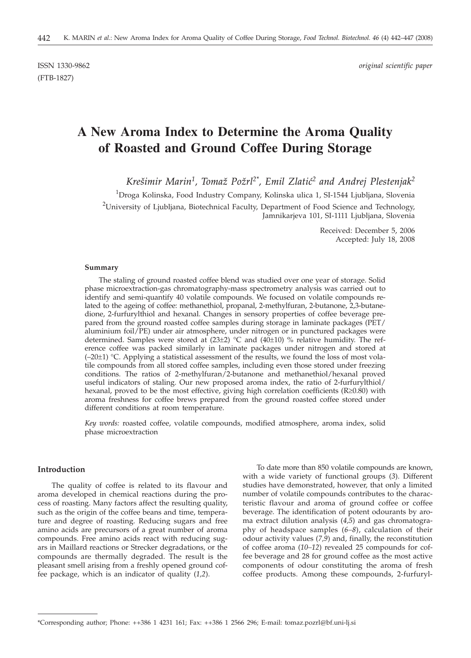(FTB-1827)

ISSN 1330-9862 *original scientific paper*

# **A New Aroma Index to Determine the Aroma Quality of Roasted and Ground Coffee During Storage**

Krešimir Marin<sup>1</sup>, Tomaž Požrl<sup>2\*</sup>, Emil Zlatić<sup>2</sup> and Andrej Plestenjak<sup>2</sup>

<sup>1</sup>Droga Kolinska, Food Industry Company, Kolinska ulica 1, SI-1544 Ljubljana, Slovenia <sup>2</sup>University of Ljubljana, Biotechnical Faculty, Department of Food Science and Technology, Jamnikarjeva 101, SI-1111 Ljubljana, Slovenia

> Received: December 5, 2006 Accepted: July 18, 2008

## **Summary**

The staling of ground roasted coffee blend was studied over one year of storage. Solid phase microextraction-gas chromatography-mass spectrometry analysis was carried out to identify and semi-quantify 40 volatile compounds. We focused on volatile compounds related to the ageing of coffee: methanethiol, propanal, 2-methylfuran, 2-butanone, 2,3-butanedione, 2-furfurylthiol and hexanal. Changes in sensory properties of coffee beverage prepared from the ground roasted coffee samples during storage in laminate packages (PET/ aluminium foil/PE) under air atmosphere, under nitrogen or in punctured packages were determined. Samples were stored at  $(23\pm 2)$  °C and  $(40\pm 10)$  % relative humidity. The reference coffee was packed similarly in laminate packages under nitrogen and stored at  $(-20\pm1)$  °C. Applying a statistical assessment of the results, we found the loss of most volatile compounds from all stored coffee samples, including even those stored under freezing conditions. The ratios of 2-methylfuran/2-butanone and methanethiol/hexanal proved useful indicators of staling. Our new proposed aroma index, the ratio of 2-furfurylthiol/ hexanal, proved to be the most effective, giving high correlation coefficients ( $R \ge 0.80$ ) with aroma freshness for coffee brews prepared from the ground roasted coffee stored under different conditions at room temperature.

*Key words:* roasted coffee, volatile compounds, modified atmosphere, aroma index, solid phase microextraction

# **Introduction**

The quality of coffee is related to its flavour and aroma developed in chemical reactions during the process of roasting. Many factors affect the resulting quality, such as the origin of the coffee beans and time, temperature and degree of roasting. Reducing sugars and free amino acids are precursors of a great number of aroma compounds. Free amino acids react with reducing sugars in Maillard reactions or Strecker degradations, or the compounds are thermally degraded. The result is the pleasant smell arising from a freshly opened ground coffee package, which is an indicator of quality (*1,2*).

To date more than 850 volatile compounds are known, with a wide variety of functional groups (*3*). Different studies have demonstrated, however, that only a limited number of volatile compounds contributes to the characteristic flavour and aroma of ground coffee or coffee beverage. The identification of potent odourants by aroma extract dilution analysis (*4,5*) and gas chromatography of headspace samples (*6–8*), calculation of their odour activity values (*7,9*) and, finally, the reconstitution of coffee aroma (*10–12*) revealed 25 compounds for coffee beverage and 28 for ground coffee as the most active components of odour constituting the aroma of fresh coffee products. Among these compounds, 2-furfuryl-

<sup>\*</sup>Corresponding author; Phone: ++386 1 4231 161; Fax: ++386 1 2566 296; E-mail: tomaz.pozrl@bf.uni-lj.si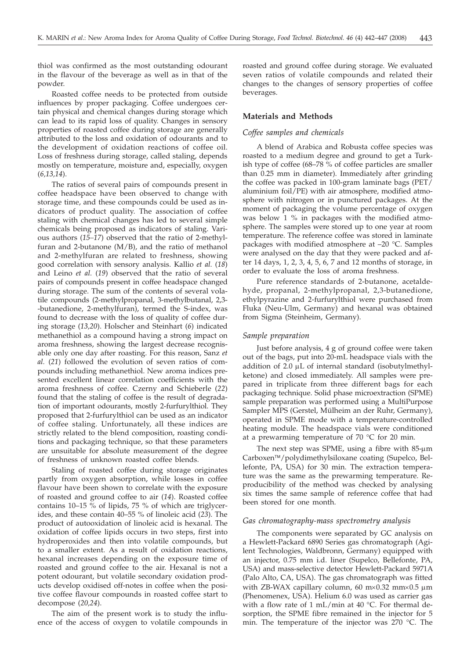thiol was confirmed as the most outstanding odourant in the flavour of the beverage as well as in that of the powder.

Roasted coffee needs to be protected from outside influences by proper packaging. Coffee undergoes certain physical and chemical changes during storage which can lead to its rapid loss of quality. Changes in sensory properties of roasted coffee during storage are generally attributed to the loss and oxidation of odourants and to the development of oxidation reactions of coffee oil. Loss of freshness during storage, called staling, depends mostly on temperature, moisture and, especially, oxygen (*6,13,14*).

The ratios of several pairs of compounds present in coffee headspace have been observed to change with storage time, and these compounds could be used as indicators of product quality. The association of coffee staling with chemical changes has led to several simple chemicals being proposed as indicators of staling. Various authors (*15–17*) observed that the ratio of 2-methylfuran and 2-butanone  $(M/B)$ , and the ratio of methanol and 2-methylfuran are related to freshness, showing good correlation with sensory analysis. Kallio *et al.* (*18*) and Leino *et al.* (*19*) observed that the ratio of several pairs of compounds present in coffee headspace changed during storage. The sum of the contents of several volatile compounds (2-methylpropanal, 3-methylbutanal, 2,3- -butanedione, 2-methylfuran), termed the S-index, was found to decrease with the loss of quality of coffee during storage (*13,20*). Holscher and Steinhart (*6*) indicated methanethiol as a compound having a strong impact on aroma freshness, showing the largest decrease recognisable only one day after roasting. For this reason, Sanz *et al.* (*21*) followed the evolution of seven ratios of compounds including methanethiol. New aroma indices presented excellent linear correlation coefficients with the aroma freshness of coffee. Czerny and Schieberle (*22*) found that the staling of coffee is the result of degradation of important odourants, mostly 2-furfurylthiol. They proposed that 2-furfurylthiol can be used as an indicator of coffee staling. Unfortunately, all these indices are strictly related to the blend composition, roasting conditions and packaging technique, so that these parameters are unsuitable for absolute measurement of the degree of freshness of unknown roasted coffee blends.

Staling of roasted coffee during storage originates partly from oxygen absorption, while losses in coffee flavour have been shown to correlate with the exposure of roasted and ground coffee to air (*14*). Roasted coffee contains 10–15 % of lipids, 75 % of which are triglycerides, and these contain 40–55 % of linoleic acid (*23*). The product of autooxidation of linoleic acid is hexanal. The oxidation of coffee lipids occurs in two steps, first into hydroperoxides and then into volatile compounds, but to a smaller extent. As a result of oxidation reactions, hexanal increases depending on the exposure time of roasted and ground coffee to the air. Hexanal is not a potent odourant, but volatile secondary oxidation products develop oxidised off-notes in coffee when the positive coffee flavour compounds in roasted coffee start to decompose (*20,24*).

The aim of the present work is to study the influence of the access of oxygen to volatile compounds in

roasted and ground coffee during storage. We evaluated seven ratios of volatile compounds and related their changes to the changes of sensory properties of coffee beverages.

# **Materials and Methods**

## *Coffee samples and chemicals*

A blend of Arabica and Robusta coffee species was roasted to a medium degree and ground to get a Turkish type of coffee (68–78 % of coffee particles are smaller than 0.25 mm in diameter). Immediately after grinding the coffee was packed in 100-gram laminate bags (PET/ aluminium foil/PE) with air atmosphere, modified atmosphere with nitrogen or in punctured packages. At the moment of packaging the volume percentage of oxygen was below 1 % in packages with the modified atmosphere. The samples were stored up to one year at room temperature. The reference coffee was stored in laminate packages with modified atmosphere at –20 °C. Samples were analysed on the day that they were packed and after 14 days, 1, 2, 3, 4, 5, 6, 7 and 12 months of storage, in order to evaluate the loss of aroma freshness.

Pure reference standards of 2-butanone, acetaldehyde, propanal, 2-methylpropanal, 2,3-butanedione, ethylpyrazine and 2-furfurylthiol were purchased from Fluka (Neu-Ulm, Germany) and hexanal was obtained from Sigma (Steinheim, Germany).

## *Sample preparation*

Just before analysis, 4 g of ground coffee were taken out of the bags, put into 20-mL headspace vials with the addition of  $2.0 \mu L$  of internal standard (isobutylmethylketone) and closed immediately. All samples were prepared in triplicate from three different bags for each packaging technique. Solid phase microextraction (SPME) sample preparation was performed using a MultiPurpose Sampler MPS (Gerstel, Mülheim an der Ruhr, Germany), operated in SPME mode with a temperature-controlled heating module. The headspace vials were conditioned at a prewarming temperature of  $70$  °C for 20 min.

The next step was SPME, using a fibre with  $85\text{-}\mu\text{m}$ Carboxen™/polydimethylsiloxane coating (Supelco, Bellefonte, PA, USA) for 30 min. The extraction temperature was the same as the prewarming temperature. Reproducibility of the method was checked by analysing six times the same sample of reference coffee that had been stored for one month.

## *Gas chromatography-mass spectrometry analysis*

The components were separated by GC analysis on a Hewlett-Packard 6890 Series gas chromatograph (Agilent Technologies, Waldbronn, Germany) equipped with an injector, 0.75 mm i.d. liner (Supelco, Bellefonte, PA, USA) and mass-selective detector Hewlett-Packard 5971A (Palo Alto, CA, USA). The gas chromatograph was fitted with ZB-WAX capillary column, 60  $m \times 0.32$  mm $\times 0.5$  µm (Phenomenex, USA). Helium 6.0 was used as carrier gas with a flow rate of 1 mL/min at 40 °C. For thermal desorption, the SPME fibre remained in the injector for 5 min. The temperature of the injector was 270 °C. The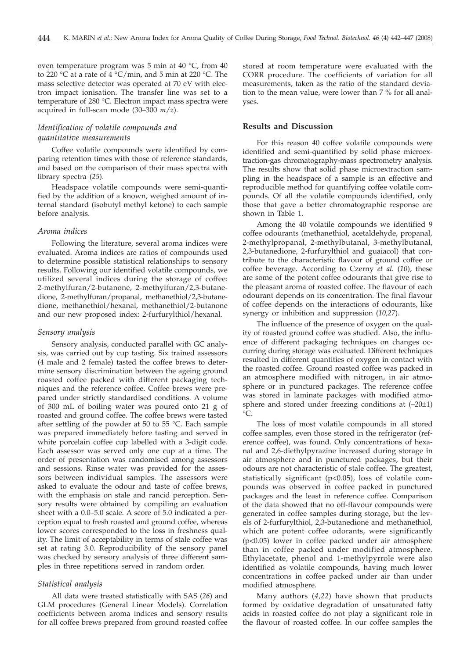oven temperature program was 5 min at 40 °C, from 40 to 220 °C at a rate of 4 °C/min, and 5 min at 220 °C. The mass selective detector was operated at 70 eV with electron impact ionisation. The transfer line was set to a temperature of 280 °C. Electron impact mass spectra were acquired in full-scan mode (30–300 *m*/*z*).

# *Identification of volatile compounds and quantitative measurements*

Coffee volatile compounds were identified by comparing retention times with those of reference standards, and based on the comparison of their mass spectra with library spectra (*25*).

Headspace volatile compounds were semi-quantified by the addition of a known, weighed amount of internal standard (isobutyl methyl ketone) to each sample before analysis.

## *Aroma indices*

Following the literature, several aroma indices were evaluated. Aroma indices are ratios of compounds used to determine possible statistical relationships to sensory results. Following our identified volatile compounds, we utilized several indices during the storage of coffee: 2-methylfuran/2-butanone, 2-methylfuran/2,3-butanedione, 2-methylfuran/propanal, methanethiol/2,3-butanedione, methanethiol/hexanal, methanethiol/2-butanone and our new proposed index: 2-furfurylthiol/hexanal.

#### *Sensory analysis*

Sensory analysis, conducted parallel with GC analysis, was carried out by cup tasting. Six trained assessors (4 male and 2 female) tasted the coffee brews to determine sensory discrimination between the ageing ground roasted coffee packed with different packaging techniques and the reference coffee. Coffee brews were prepared under strictly standardised conditions. A volume of 300 mL of boiling water was poured onto 21 g of roasted and ground coffee. The coffee brews were tasted after settling of the powder at 50 to 55 °C. Each sample was prepared immediately before tasting and served in white porcelain coffee cup labelled with a 3-digit code. Each assessor was served only one cup at a time. The order of presentation was randomised among assessors and sessions. Rinse water was provided for the assessors between individual samples. The assessors were asked to evaluate the odour and taste of coffee brews, with the emphasis on stale and rancid perception. Sensory results were obtained by compiling an evaluation sheet with a 0.0–5.0 scale. A score of 5.0 indicated a perception equal to fresh roasted and ground coffee, whereas lower scores corresponded to the loss in freshness quality. The limit of acceptability in terms of stale coffee was set at rating 3.0. Reproducibility of the sensory panel was checked by sensory analysis of three different samples in three repetitions served in random order.

## *Statistical analysis*

All data were treated statistically with SAS (*26*) and GLM procedures (General Linear Models). Correlation coefficients between aroma indices and sensory results for all coffee brews prepared from ground roasted coffee

stored at room temperature were evaluated with the CORR procedure. The coefficients of variation for all measurements, taken as the ratio of the standard deviation to the mean value, were lower than 7 % for all analyses.

## **Results and Discussion**

For this reason 40 coffee volatile compounds were identified and semi-quantified by solid phase microextraction-gas chromatography-mass spectrometry analysis. The results show that solid phase microextraction sampling in the headspace of a sample is an effective and reproducible method for quantifying coffee volatile compounds. Of all the volatile compounds identified, only those that gave a better chromatographic response are shown in Table 1.

Among the 40 volatile compounds we identified 9 coffee odourants (methanethiol, acetaldehyde, propanal, 2-methylpropanal, 2-methylbutanal, 3-methylbutanal, 2,3-butanedione, 2-furfurylthiol and guaiacol) that contribute to the characteristic flavour of ground coffee or coffee beverage. According to Czerny *et al.* (*10*), these are some of the potent coffee odourants that give rise to the pleasant aroma of roasted coffee. The flavour of each odourant depends on its concentration. The final flavour of coffee depends on the interactions of odourants, like synergy or inhibition and suppression (*10,27*).

The influence of the presence of oxygen on the quality of roasted ground coffee was studied. Also, the influence of different packaging techniques on changes occurring during storage was evaluated. Different techniques resulted in different quantities of oxygen in contact with the roasted coffee. Ground roasted coffee was packed in an atmosphere modified with nitrogen, in air atmosphere or in punctured packages. The reference coffee was stored in laminate packages with modified atmosphere and stored under freezing conditions at  $(-20\pm 1)$  $^{\circ}C$ 

The loss of most volatile compounds in all stored coffee samples, even those stored in the refrigerator (reference coffee), was found. Only concentrations of hexanal and 2,6-diethylpyrazine increased during storage in air atmosphere and in punctured packages, but their odours are not characteristic of stale coffee. The greatest, statistically significant (p<0.05), loss of volatile compounds was observed in coffee packed in punctured packages and the least in reference coffee. Comparison of the data showed that no off-flavour compounds were generated in coffee samples during storage, but the levels of 2-furfurylthiol, 2,3-butanedione and methanethiol, which are potent coffee odorants, were significantly (p<0.05) lower in coffee packed under air atmosphere than in coffee packed under modified atmosphere. Ethylacetate, phenol and 1-methylpyrrole were also identified as volatile compounds, having much lower concentrations in coffee packed under air than under modified atmosphere.

Many authors (*4,22*) have shown that products formed by oxidative degradation of unsaturated fatty acids in roasted coffee do not play a significant role in the flavour of roasted coffee. In our coffee samples the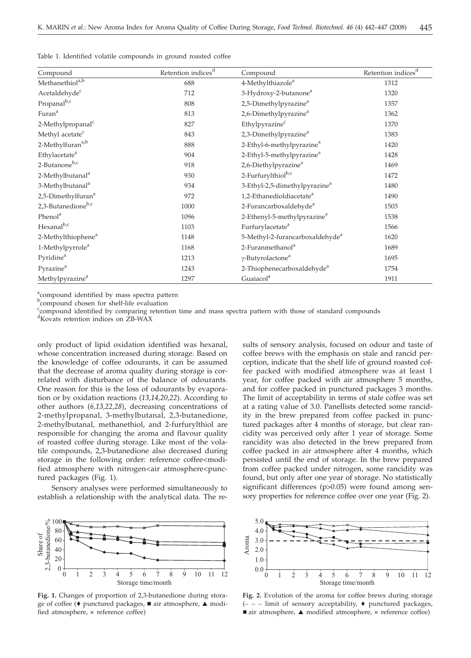Table 1. Identified volatile compounds in ground roasted coffee

| Compound                       | Retention indices <sup>d</sup> | Compound                                    | Retention indices $\!d$ |
|--------------------------------|--------------------------------|---------------------------------------------|-------------------------|
| Methanethiol <sup>a,b</sup>    | 688                            | 4-Methylthiazole <sup>a</sup>               | 1312                    |
| Acetaldehyde <sup>c</sup>      | 712                            | 3-Hydroxy-2-butanone <sup>a</sup>           | 1320                    |
| Propanal <sup>b,c</sup>        | 808                            | 2,5-Dimethylpyrazine <sup>a</sup>           | 1357                    |
| Furan <sup>a</sup>             | 813                            | 2,6-Dimethylpyrazine <sup>a</sup>           | 1362                    |
| 2-Methylpropanal <sup>c</sup>  | 827                            | Ethylpyrazine <sup>c</sup>                  | 1370                    |
| Methyl acetate <sup>c</sup>    | 843                            | 2,3-Dimethylpyrazine <sup>a</sup>           | 1383                    |
| 2-Methylfuran <sup>a,b</sup>   | 888                            | 2-Ethyl-6-methylpyrazine <sup>a</sup>       | 1420                    |
| Ethylacetate <sup>a</sup>      | 904                            | 2-Ethyl-5-methylpyrazine <sup>a</sup>       | 1428                    |
| 2-Butanone <sup>b,c</sup>      | 918                            | 2,6-Diethylpyrazine <sup>a</sup>            | 1469                    |
| 2-Methylbutanal <sup>a</sup>   | 930                            | 2-Furfurylthiol <sup>b,c</sup>              | 1472                    |
| 3-Methylbutanal <sup>a</sup>   | 934                            | 3-Ethyl-2,5-dimethylpyrazine <sup>a</sup>   | 1480                    |
| 2,5-Dimethylfuran <sup>a</sup> | 972                            | 1,2-Ethanedioldiacetate <sup>a</sup>        | 1490                    |
| 2,3-Butanedione <sup>b,c</sup> | 1000                           | 2-Furancarboxaldehyde <sup>a</sup>          | 1503                    |
| Phenol <sup>a</sup>            | 1096                           | 2-Ethenyl-5-methylpyrazine <sup>a</sup>     | 1538                    |
| Hexanal <sup>b,c</sup>         | 1103                           | Furfurylacetate <sup>a</sup>                | 1566                    |
| 2-Methylthiophene <sup>a</sup> | 1148                           | 5-Methyl-2-furancarboxaldehyde <sup>a</sup> | 1620                    |
| 1-Methylpyrrole <sup>a</sup>   | 1168                           | 2-Furanmethanol <sup>a</sup>                | 1689                    |
| Pyridine <sup>a</sup>          | 1213                           | $\gamma$ -Butyrolactone <sup>a</sup>        | 1695                    |
| Pyrazine <sup>a</sup>          | 1243                           | 2-Thiophenecarboxaldehyde <sup>a</sup>      | 1754                    |
| Methylpyrazine <sup>a</sup>    | 1297                           | Guaiacol <sup>a</sup>                       | 1911                    |

<sup>a</sup>compound identified by mass spectra pattern

b<sub>compound chosen for shelf-life evaluation</sub>

c compound identified by comparing retention time and mass spectra pattern with those of standard compounds

d Kovats retention indices on ZB-WAX

only product of lipid oxidation identified was hexanal, whose concentration increased during storage. Based on the knowledge of coffee odourants, it can be assumed that the decrease of aroma quality during storage is correlated with disturbance of the balance of odourants. One reason for this is the loss of odourants by evaporation or by oxidation reactions (*13,14,20,22*). According to other authors (*6,13,22,28*), decreasing concentrations of 2-methylpropanal, 3-methylbutanal, 2,3-butanedione, 2-methylbutanal, methanethiol, and 2-furfurylthiol are responsible for changing the aroma and flavour quality of roasted coffee during storage. Like most of the volatile compounds, 2,3-butanedione also decreased during storage in the following order: reference coffee<modified atmosphere with nitrogen<air atmosphere<punctured packages (Fig. 1).

Sensory analyses were performed simultaneously to establish a relationship with the analytical data. The re-



**Fig. 1.** Changes of proportion of 2,3-butanedione during storage of coffee ( $\bullet$  punctured packages,  $\blacksquare$  air atmosphere,  $\blacktriangle$  modified atmosphere, **´** reference coffee)

sults of sensory analysis, focused on odour and taste of coffee brews with the emphasis on stale and rancid perception, indicate that the shelf life of ground roasted coffee packed with modified atmosphere was at least 1 year, for coffee packed with air atmosphere 5 months, and for coffee packed in punctured packages 3 months. The limit of acceptability in terms of stale coffee was set at a rating value of 3.0. Panellists detected some rancidity in the brew prepared from coffee packed in punctured packages after 4 months of storage, but clear rancidity was perceived only after 1 year of storage. Some rancidity was also detected in the brew prepared from coffee packed in air atmosphere after 4 months, which persisted until the end of storage. In the brew prepared from coffee packed under nitrogen, some rancidity was found, but only after one year of storage. No statistically significant differences (p>0.05) were found among sensory properties for reference coffee over one year (Fig. 2).



**Fig. 2.** Evolution of the aroma for coffee brews during storage (**\_\_\_** limit of sensory acceptability, punctured packages, ■ air atmosphere, ▲ modified atmosphere, × reference coffee)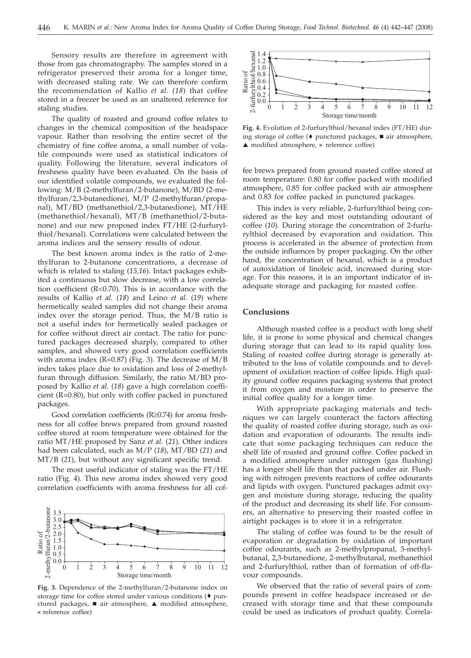Sensory results are therefore in agreement with those from gas chromatography. The samples stored in a refrigerator preserved their aroma for a longer time, with decreased staling rate. We can therefore confirm the recommendation of Kallio *et al.* (*18*) that coffee stored in a freezer be used as an unaltered reference for staling studies.

The quality of roasted and ground coffee relates to changes in the chemical composition of the headspace vapour. Rather than resolving the entire secret of the chemistry of fine coffee aroma, a small number of volatile compounds were used as statistical indicators of quality. Following the literature, several indicators of freshness quality have been evaluated. On the basis of our identified volatile compounds, we evaluated the following: M/B (2-methylfuran/2-butanone), M/BD (2-methylfuran/2,3-butanedione), M/P (2-methylfuran/propanal), MT/BD (methanethiol/2,3-butanedione), MT/HE (methanethiol/hexanal), MT/B (methanethiol/2-butanone) and our new proposed index FT/HE (2-furfurylthiol/hexanal). Correlations were calculated between the aroma indices and the sensory results of odour.

The best known aroma index is the ratio of 2-methylfuran to 2-butanone concentrations, a decrease of which is related to staling (*15,16*). Intact packages exhibited a continuous but slow decrease, with a low correlation coefficient (R<0.70). This is in accordance with the results of Kallio *et al.* (*18*) and Leino *et al.* (*19*) where hermetically sealed samples did not change their aroma index over the storage period. Thus, the M/B ratio is not a useful index for hermetically sealed packages or for coffee without direct air contact. The ratio for punctured packages decreased sharply, compared to other samples, and showed very good correlation coefficients with aroma index ( $R=0.87$ ) (Fig. 3). The decrease of  $M/B$ index takes place due to oxidation and loss of 2-methylfuran through diffusion. Similarly, the ratio M/BD proposed by Kallio *et al.* (*18*) gave a high correlation coefficient (R=0.80), but only with coffee packed in punctured packages.

Good correlation coefficients ( $R\geq 0.74$ ) for aroma freshness for all coffee brews prepared from ground roasted coffee stored at room temperature were obtained for the ratio MT/HE proposed by Sanz *et al.* (*21*). Other indices had been calculated, such as M/P (*18*), MT/BD (*21*) and MT/B (*21*), but without any significant specific trend.

The most useful indicator of staling was the FT/HE ratio (Fig. 4). This new aroma index showed very good correlation coefficients with aroma freshness for all cof-



**Fig. 3.** Dependence of the 2-methylfuran/2-butanone index on storage time for coffee stored under various conditions  $(•$  punctured packages, air atmosphere, A modified atmosphere, **´** reference coffee)



**Fig. 4.** Evolution of 2-furfurylthiol/hexanal index (FT/HE) during storage of coffee ( $\bullet$  punctured packages,  $\blacksquare$  air atmosphere, ▲ modified atmosphere, **×** reference coffee)

fee brews prepared from ground roasted coffee stored at room temperature: 0.80 for coffee packed with modified atmosphere, 0.85 for coffee packed with air atmosphere and 0.83 for coffee packed in punctured packages.

This index is very reliable, 2-furfurylthiol being considered as the key and most outstanding odourant of coffee (*10*). During storage the concentration of 2-furfurylthiol decreased by evaporation and oxidation. This process is accelerated in the absence of protection from the outside influences by proper packaging. On the other hand, the concentration of hexanal, which is a product of autoxidation of linoleic acid, increased during storage. For this reasons, it is an important indicator of inadequate storage and packaging for roasted coffee.

# **Conclusions**

Although roasted coffee is a product with long shelf life, it is prone to some physical and chemical changes during storage that can lead to its rapid quality loss. Staling of roasted coffee during storage is generally attributed to the loss of volatile compounds and to development of oxidation reaction of coffee lipids. High quality ground coffee requires packaging systems that protect it from oxygen and moisture in order to preserve the initial coffee quality for a longer time.

With appropriate packaging materials and techniques we can largely counteract the factors affecting the quality of roasted coffee during storage, such as oxidation and evaporation of odourants. The results indicate that some packaging techniques can reduce the shelf life of roasted and ground coffee. Coffee packed in a modified atmosphere under nitrogen (gas flushing) has a longer shelf life than that packed under air. Flushing with nitrogen prevents reactions of coffee odourants and lipids with oxygen. Punctured packages admit oxygen and moisture during storage, reducing the quality of the product and decreasing its shelf life. For consumers, an alternative to preserving their roasted coffee in airtight packages is to store it in a refrigerator.

The staling of coffee was found to be the result of evaporation or degradation by oxidation of important coffee odourants, such as 2-methylpropanal, 3-methylbutanal, 2,3-butanedione, 2-methylbutanal, methanethiol and 2-furfurylthiol, rather than of formation of off-flavour compounds.

We observed that the ratio of several pairs of compounds present in coffee headspace increased or decreased with storage time and that these compounds could be used as indicators of product quality. Correla